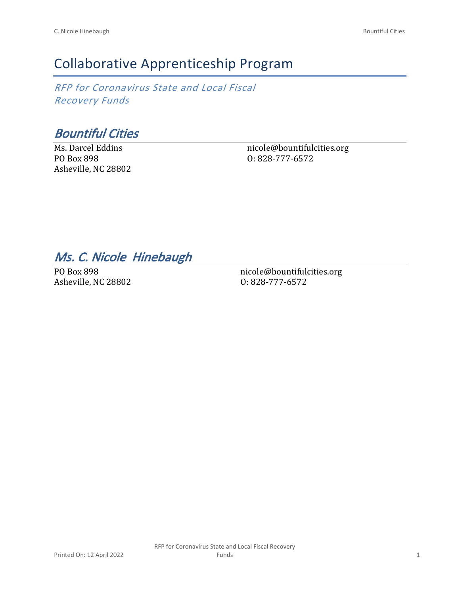# Collaborative Apprenticeship Program

*RFP for Coronavirus State and Local Fiscal Recovery Funds*

*Bountiful Cities*

Ms. Darcel Eddins PO Box 898 Asheville, NC 28802 nicole@bountifulcities.org O: 828-777-6572

## *Ms. C. Nicole Hinebaugh*

PO Box 898 Asheville, NC 28802 nicole@bountifulcities.org O: 828-777-6572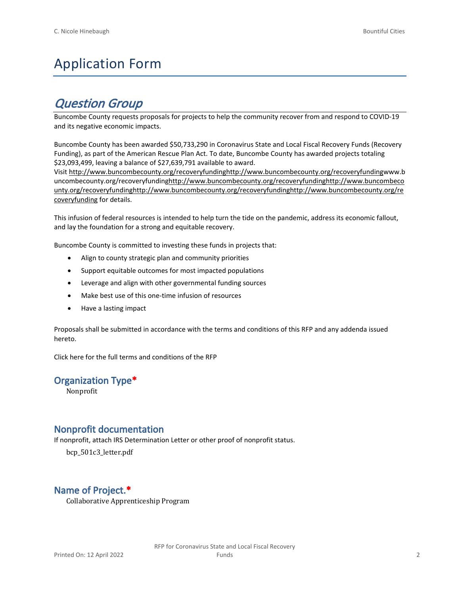# Application Form

## *Question Group*

Buncombe County requests proposals for projects to help the community recover from and respond to COVID-19 and its negative economic impacts.

Buncombe County has been awarded \$50,733,290 in Coronavirus State and Local Fiscal Recovery Funds (Recovery Funding), as part of the American Rescue Plan Act. To date, Buncombe County has awarded projects totaling \$23,093,499, leaving a balance of \$27,639,791 available to award.

Visit [http://www.buncombecounty.org/recoveryfundinghttp://www.buncombecounty.org/recoveryfundingwww.b](http://www.buncombecounty.org/recoveryfunding) [uncombecounty.org/recoveryfundinghttp://www.buncombecounty.org/recoveryfundinghttp://www.buncombeco](http://www.buncombecounty.org/recoveryfunding) [unty.org/recoveryfundinghttp://www.buncombecounty.org/recoveryfundinghttp://www.buncombecounty.org/re](http://www.buncombecounty.org/recoveryfunding) [coveryfunding](http://www.buncombecounty.org/recoveryfunding) for details.

This infusion of federal resources is intended to help turn the tide on the pandemic, address its economic fallout, and lay the foundation for a strong and equitable recovery.

Buncombe County is committed to investing these funds in projects that:

- Align to county strategic plan and community priorities
- Support equitable outcomes for most impacted populations
- Leverage and align with other governmental funding sources
- Make best use of this one-time infusion of resources
- Have a lasting impact

Proposals shall be submitted in accordance with the terms and conditions of this RFP and any addenda issued hereto.

Click [here](https://www.buncombecounty.org/common/purchasing/Buncombe%20Recovery%20Funding%20RFP%202022.pdf) for the full terms and conditions of the RFP

#### **Organization Type\***

Nonprofit

#### **Nonprofit documentation**

If nonprofit, attach IRS Determination Letter or other proof of nonprofit status.

bcp\_501c3\_letter.pdf

### **Name of Project.\***

Collaborative Apprenticeship Program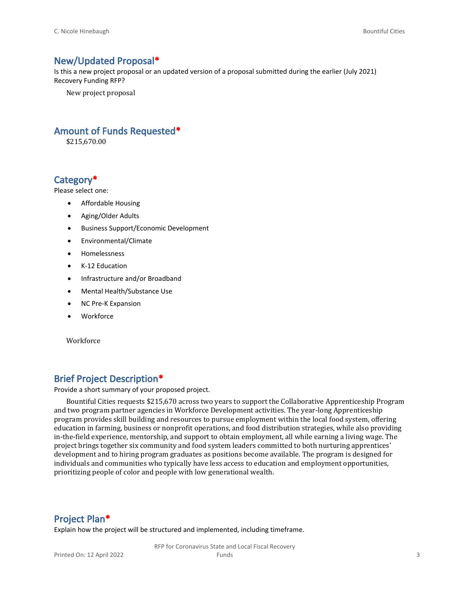#### **New/Updated Proposal\***

Is this a new project proposal or an updated version of a proposal submitted during the earlier (July 2021) Recovery Funding RFP?

New project proposal

#### **Amount of Funds Requested\***

\$215,670.00

#### **Category\***

Please select one:

- Affordable Housing
- Aging/Older Adults
- Business Support/Economic Development
- Environmental/Climate
- Homelessness
- K-12 Education
- Infrastructure and/or Broadband
- Mental Health/Substance Use
- NC Pre-K Expansion
- Workforce

Workforce

#### **Brief Project Description\***

Provide a short summary of your proposed project.

Bountiful Cities requests \$215,670 across two years to support the Collaborative Apprenticeship Program and two program partner agencies in Workforce Development activities. The year-long Apprenticeship program provides skill building and resources to pursue employment within the local food system, offering education in farming, business or nonprofit operations, and food distribution strategies, while also providing in-the-field experience, mentorship, and support to obtain employment, all while earning a living wage. The project brings together six community and food system leaders committed to both nurturing apprentices' development and to hiring program graduates as positions become available. The program is designed for individuals and communities who typically have less access to education and employment opportunities, prioritizing people of color and people with low generational wealth.

#### **Project Plan\***

Explain how the project will be structured and implemented, including timeframe.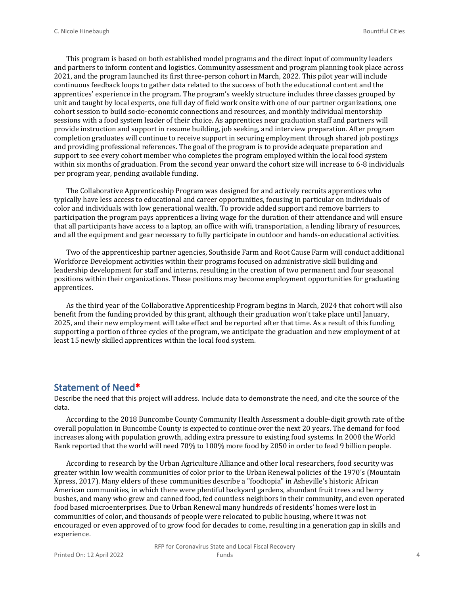This program is based on both established model programs and the direct input of community leaders and partners to inform content and logistics. Community assessment and program planning took place across 2021, and the program launched its first three-person cohort in March, 2022. This pilot year will include continuous feedback loops to gather data related to the success of both the educational content and the apprentices' experience in the program. The program's weekly structure includes three classes grouped by unit and taught by local experts, one full day of field work onsite with one of our partner organizations, one cohort session to build socio-economic connections and resources, and monthly individual mentorship sessions with a food system leader of their choice. As apprentices near graduation staff and partners will provide instruction and support in resume building, job seeking, and interview preparation. After program completion graduates will continue to receive support in securing employment through shared job postings and providing professional references. The goal of the program is to provide adequate preparation and support to see every cohort member who completes the program employed within the local food system within six months of graduation. From the second year onward the cohort size will increase to 6-8 individuals per program year, pending available funding.

The Collaborative Apprenticeship Program was designed for and actively recruits apprentices who typically have less access to educational and career opportunities, focusing in particular on individuals of color and individuals with low generational wealth. To provide added support and remove barriers to participation the program pays apprentices a living wage for the duration of their attendance and will ensure that all participants have access to a laptop, an office with wifi, transportation, a lending library of resources, and all the equipment and gear necessary to fully participate in outdoor and hands-on educational activities.

Two of the apprenticeship partner agencies, Southside Farm and Root Cause Farm will conduct additional Workforce Development activities within their programs focused on administrative skill building and leadership development for staff and interns, resulting in the creation of two permanent and four seasonal positions within their organizations. These positions may become employment opportunities for graduating apprentices.

As the third year of the Collaborative Apprenticeship Program begins in March, 2024 that cohort will also benefit from the funding provided by this grant, although their graduation won't take place until January, 2025, and their new employment will take effect and be reported after that time. As a result of this funding supporting a portion of three cycles of the program, we anticipate the graduation and new employment of at least 15 newly skilled apprentices within the local food system.

#### **Statement of Need\***

Describe the need that this project will address. Include data to demonstrate the need, and cite the source of the data.

According to the 2018 Buncombe County Community Health Assessment a double-digit growth rate of the overall population in Buncombe County is expected to continue over the next 20 years. The demand for food increases along with population growth, adding extra pressure to existing food systems. In 2008 the World Bank reported that the world will need 70% to 100% more food by 2050 in order to feed 9 billion people.

According to research by the Urban Agriculture Alliance and other local researchers, food security was greater within low wealth communities of color prior to the Urban Renewal policies of the 1970's (Mountain Xpress, 2017). Many elders of these communities describe a "foodtopia" in Asheville's historic African American communities, in which there were plentiful backyard gardens, abundant fruit trees and berry bushes, and many who grew and canned food, fed countless neighbors in their community, and even operated food based microenterprises. Due to Urban Renewal many hundreds of residents' homes were lost in communities of color, and thousands of people were relocated to public housing, where it was not encouraged or even approved of to grow food for decades to come, resulting in a generation gap in skills and experience.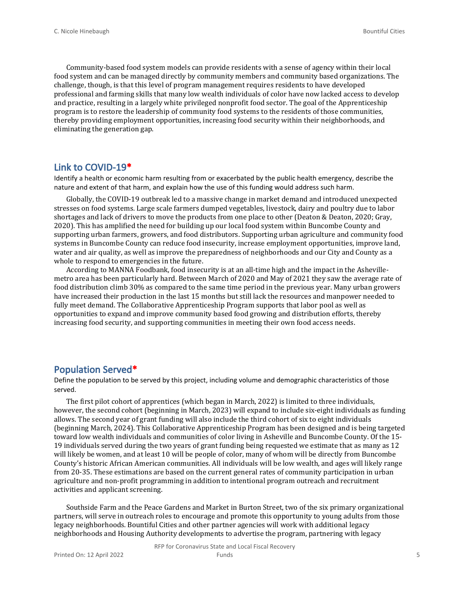Community-based food system models can provide residents with a sense of agency within their local food system and can be managed directly by community members and community based organizations. The challenge, though, is that this level of program management requires residents to have developed professional and farming skills that many low wealth individuals of color have now lacked access to develop and practice, resulting in a largely white privileged nonprofit food sector. The goal of the Apprenticeship program is to restore the leadership of community food systems to the residents of those communities, thereby providing employment opportunities, increasing food security within their neighborhoods, and eliminating the generation gap.

#### **Link to COVID-19\***

Identify a health or economic harm resulting from or exacerbated by the public health emergency, describe the nature and extent of that harm, and explain how the use of this funding would address such harm.

Globally, the COVID-19 outbreak led to a massive change in market demand and introduced unexpected stresses on food systems. Large scale farmers dumped vegetables, livestock, dairy and poultry due to labor shortages and lack of drivers to move the products from one place to other (Deaton & Deaton, 2020; Gray, 2020). This has amplified the need for building up our local food system within Buncombe County and supporting urban farmers, growers, and food distributors. Supporting urban agriculture and community food systems in Buncombe County can reduce food insecurity, increase employment opportunities, improve land, water and air quality, as well as improve the preparedness of neighborhoods and our City and County as a whole to respond to emergencies in the future.

According to MANNA Foodbank, food insecurity is at an all-time high and the impact in the Ashevillemetro area has been particularly hard. Between March of 2020 and May of 2021 they saw the average rate of food distribution climb 30% as compared to the same time period in the previous year. Many urban growers have increased their production in the last 15 months but still lack the resources and manpower needed to fully meet demand. The Collaborative Apprenticeship Program supports that labor pool as well as opportunities to expand and improve community based food growing and distribution efforts, thereby increasing food security, and supporting communities in meeting their own food access needs.

#### **Population Served\***

Define the population to be served by this project, including volume and demographic characteristics of those served.

The first pilot cohort of apprentices (which began in March, 2022) is limited to three individuals, however, the second cohort (beginning in March, 2023) will expand to include six-eight individuals as funding allows. The second year of grant funding will also include the third cohort of six to eight individuals (beginning March, 2024). This Collaborative Apprenticeship Program has been designed and is being targeted toward low wealth individuals and communities of color living in Asheville and Buncombe County. Of the 15- 19 individuals served during the two years of grant funding being requested we estimate that as many as 12 will likely be women, and at least 10 will be people of color, many of whom will be directly from Buncombe County's historic African American communities. All individuals will be low wealth, and ages will likely range from 20-35. These estimations are based on the current general rates of community participation in urban agriculture and non-profit programming in addition to intentional program outreach and recruitment activities and applicant screening.

Southside Farm and the Peace Gardens and Market in Burton Street, two of the six primary organizational partners, will serve in outreach roles to encourage and promote this opportunity to young adults from those legacy neighborhoods. Bountiful Cities and other partner agencies will work with additional legacy neighborhoods and Housing Authority developments to advertise the program, partnering with legacy

RFP for Coronavirus State and Local Fiscal Recovery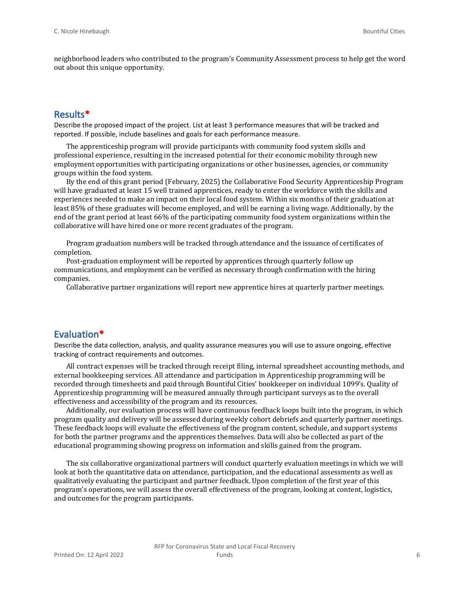neighborhood leaders who contributed to the program's Community Assessment process to help get the word out about this unique opportunity.

#### **Results\***

Describe the proposed impact of the project. List at least 3 performance measures that will be tracked and reported. If possible, include baselines and goals for each performance measure.

The apprenticeship program will provide participants with community food system skills and professional experience, resulting in the increased potential for their economic mobility through new employment opportunities with participating organizations or other businesses, agencies, or community groups within the food system.

By the end of this grant period (February, 2025) the Collaborative Food Security Apprenticeship Program will have graduated at least 15 well trained apprentices, ready to enter the workforce with the skills and experiences needed to make an impact on their local food system. Within six months of their graduation at least 85% of these graduates will become employed, and will be earning a living wage. Additionally, by the end of the grant period at least 66% of the participating community food system organizations within the collaborative will have hired one or more recent graduates of the program.

Program graduation numbers will be tracked through attendance and the issuance of certificates of completion.

Post-graduation employment will be reported by apprentices through quarterly follow up communications, and employment can be verified as necessary through confirmation with the hiring companies.

Collaborative partner organizations will report new apprentice hires at quarterly partner meetings.

#### **Evaluation\***

Describe the data collection, analysis, and quality assurance measures you will use to assure ongoing, effective tracking of contract requirements and outcomes.

All contract expenses will be tracked through receipt filing, internal spreadsheet accounting methods, and external bookkeeping services. All attendance and participation in Apprenticeship programming will be recorded through timesheets and paid through Bountiful Cities' bookkeeper on individual 1099's. Quality of Apprenticeship programming will be measured annually through participant surveys as to the overall effectiveness and accessibility of the program and its resources.

Additionally, our evaluation process will have continuous feedback loops built into the program, in which program quality and delivery will be assessed during weekly cohort debriefs and quarterly partner meetings. These feedback loops will evaluate the effectiveness of the program content, schedule, and support systems for both the partner programs and the apprentices themselves. Data will also be collected as part of the educational programming showing progress on information and skills gained from the program.

The six collaborative organizational partners will conduct quarterly evaluation meetings in which we will look at both the quantitative data on attendance, participation, and the educational assessments as well as qualitatively evaluating the participant and partner feedback. Upon completion of the first year of this program's operations, we will assess the overall effectiveness of the program, looking at content, logistics, and outcomes for the program participants.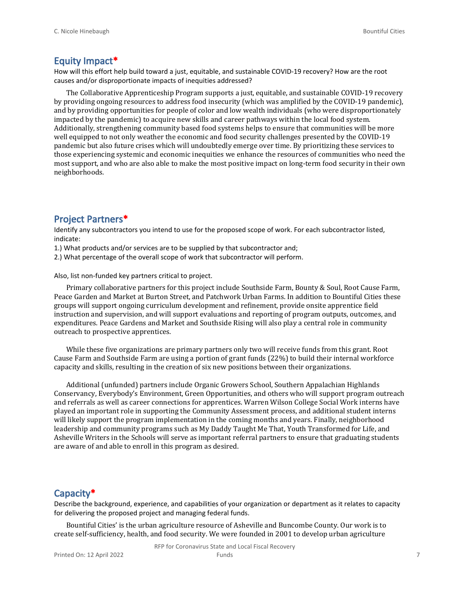#### **Equity Impact\***

How will this effort help build toward a just, equitable, and sustainable COVID-19 recovery? How are the root causes and/or disproportionate impacts of inequities addressed?

The Collaborative Apprenticeship Program supports a just, equitable, and sustainable COVID-19 recovery by providing ongoing resources to address food insecurity (which was amplified by the COVID-19 pandemic), and by providing opportunities for people of color and low wealth individuals (who were disproportionately impacted by the pandemic) to acquire new skills and career pathways within the local food system. Additionally, strengthening community based food systems helps to ensure that communities will be more well equipped to not only weather the economic and food security challenges presented by the COVID-19 pandemic but also future crises which will undoubtedly emerge over time. By prioritizing these services to those experiencing systemic and economic inequities we enhance the resources of communities who need the most support, and who are also able to make the most positive impact on long-term food security in their own neighborhoods.

#### **Project Partners\***

Identify any subcontractors you intend to use for the proposed scope of work. For each subcontractor listed, indicate:

- 1.) What products and/or services are to be supplied by that subcontractor and;
- 2.) What percentage of the overall scope of work that subcontractor will perform.

Also, list non-funded key partners critical to project.

Primary collaborative partners for this project include Southside Farm, Bounty & Soul, Root Cause Farm, Peace Garden and Market at Burton Street, and Patchwork Urban Farms. In addition to Bountiful Cities these groups will support ongoing curriculum development and refinement, provide onsite apprentice field instruction and supervision, and will support evaluations and reporting of program outputs, outcomes, and expenditures. Peace Gardens and Market and Southside Rising will also play a central role in community outreach to prospective apprentices.

While these five organizations are primary partners only two will receive funds from this grant. Root Cause Farm and Southside Farm are using a portion of grant funds (22%) to build their internal workforce capacity and skills, resulting in the creation of six new positions between their organizations.

Additional (unfunded) partners include Organic Growers School, Southern Appalachian Highlands Conservancy, Everybody's Environment, Green Opportunities, and others who will support program outreach and referrals as well as career connections for apprentices. Warren Wilson College Social Work interns have played an important role in supporting the Community Assessment process, and additional student interns will likely support the program implementation in the coming months and years. Finally, neighborhood leadership and community programs such as My Daddy Taught Me That, Youth Transformed for Life, and Asheville Writers in the Schools will serve as important referral partners to ensure that graduating students are aware of and able to enroll in this program as desired.

#### **Capacity\***

Describe the background, experience, and capabilities of your organization or department as it relates to capacity for delivering the proposed project and managing federal funds.

Bountiful Cities' is the urban agriculture resource of Asheville and Buncombe County. Our work is to create self-sufficiency, health, and food security. We were founded in 2001 to develop urban agriculture

RFP for Coronavirus State and Local Fiscal Recovery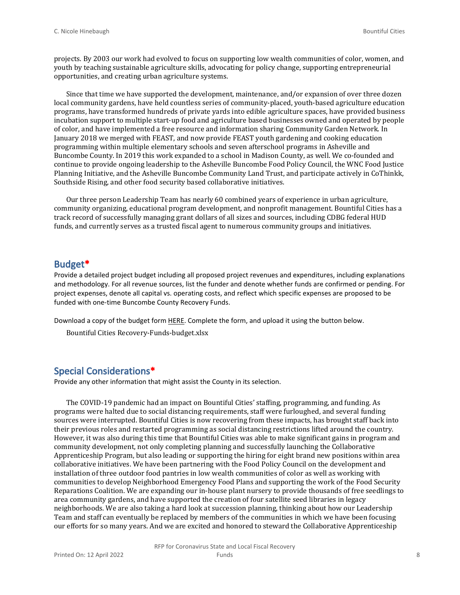projects. By 2003 our work had evolved to focus on supporting low wealth communities of color, women, and youth by teaching sustainable agriculture skills, advocating for policy change, supporting entrepreneurial opportunities, and creating urban agriculture systems.

Since that time we have supported the development, maintenance, and/or expansion of over three dozen local community gardens, have held countless series of community-placed, youth-based agriculture education programs, have transformed hundreds of private yards into edible agriculture spaces, have provided business incubation support to multiple start-up food and agriculture based businesses owned and operated by people of color, and have implemented a free resource and information sharing Community Garden Network. In January 2018 we merged with FEAST, and now provide FEAST youth gardening and cooking education programming within multiple elementary schools and seven afterschool programs in Asheville and Buncombe County. In 2019 this work expanded to a school in Madison County, as well. We co-founded and continue to provide ongoing leadership to the Asheville Buncombe Food Policy Council, the WNC Food Justice Planning Initiative, and the Asheville Buncombe Community Land Trust, and participate actively in CoThinkk, Southside Rising, and other food security based collaborative initiatives.

Our three person Leadership Team has nearly 60 combined years of experience in urban agriculture, community organizing, educational program development, and nonprofit management. Bountiful Cities has a track record of successfully managing grant dollars of all sizes and sources, including CDBG federal HUD funds, and currently serves as a trusted fiscal agent to numerous community groups and initiatives.

#### **Budget\***

Provide a detailed project budget including all proposed project revenues and expenditures, including explanations and methodology. For all revenue sources, list the funder and denote whether funds are confirmed or pending. For project expenses, denote all capital vs. operating costs, and reflect which specific expenses are proposed to be funded with one-time Buncombe County Recovery Funds.

Download a copy of the budget form [HERE](https://buncombecounty.org/common/community-investment/grants/early-childhood-education/Recovery-Funds-budget-template.xlsx). Complete the form, and upload it using the button below.

Bountiful Cities Recovery-Funds-budget.xlsx

### **Special Considerations\***

Provide any other information that might assist the County in its selection.

The COVID-19 pandemic had an impact on Bountiful Cities' staffing, programming, and funding. As programs were halted due to social distancing requirements, staff were furloughed, and several funding sources were interrupted. Bountiful Cities is now recovering from these impacts, has brought staff back into their previous roles and restarted programming as social distancing restrictions lifted around the country. However, it was also during this time that Bountiful Cities was able to make significant gains in program and community development, not only completing planning and successfully launching the Collaborative Apprenticeship Program, but also leading or supporting the hiring for eight brand new positions within area collaborative initiatives. We have been partnering with the Food Policy Council on the development and installation of three outdoor food pantries in low wealth communities of color as well as working with communities to develop Neighborhood Emergency Food Plans and supporting the work of the Food Security Reparations Coalition. We are expanding our in-house plant nursery to provide thousands of free seedlings to area community gardens, and have supported the creation of four satellite seed libraries in legacy neighborhoods. We are also taking a hard look at succession planning, thinking about how our Leadership Team and staff can eventually be replaced by members of the communities in which we have been focusing our efforts for so many years. And we are excited and honored to steward the Collaborative Apprenticeship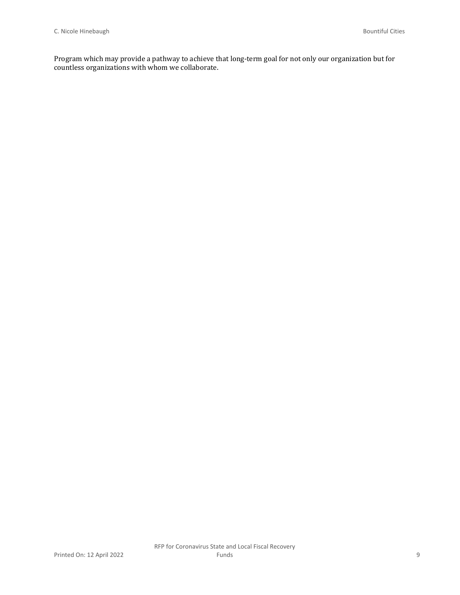Program which may provide a pathway to achieve that long-term goal for not only our organization but for countless organizations with whom we collaborate.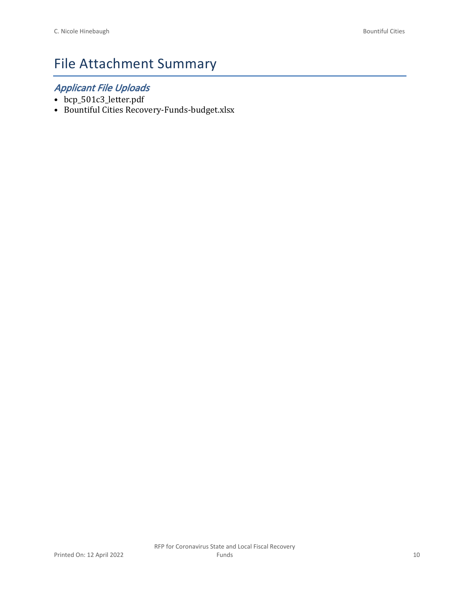# File Attachment Summary

### *Applicant File Uploads*

- bcp\_501c3\_letter.pdf
- Bountiful Cities Recovery-Funds-budget.xlsx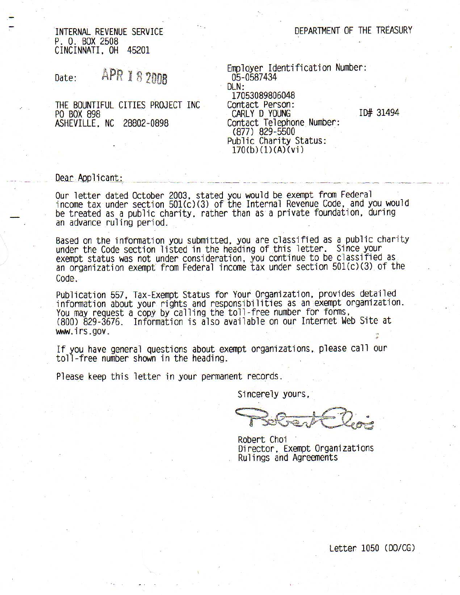DEPARTMENT OF THE TREASURY

INTERNAL REVENUE SERVICE P. O. BOX 2508 CINCINNATI, OH 45201

**APR 18 2008** Date:

THE BOUNTIFUL CITIES PROJECT INC PO BOX 898 ASHEVILLE, NC 28802-0898

Employer Identification Number: 05-0587434 DLN: 17053089806048 Contact Person: CARLY D. YOUNG Contact Telephone Number:<br>(877) 829-5500 Public Charity Status:  $170(b)(1)(A)(vi)$ 

ID# 31494

#### Dear Applicant:

Our letter dated October 2003, stated you would be exempt from Federal income tax under section 501(c)(3) of the Internal Revenue Code, and you would be treated as a public charity, rather than as a private foundation, during an advance ruling period.

Based on the information you submitted, you are classified as a public charity under the Code section listed in the heading of this letter. Since your<br>exempt status was not under consideration, you continue to be classified as<br>an organization exempt from Federal income tax under section 501(c)(3) of  $Code$ 

Publication 557, Tax-Exempt Status for Your Organization, provides detailed information about your rights and responsibilities as an exempt organization. You may request a copy by calling the toll-free number for forms, (800) 829-3676. Information is also available on our Internet Web Site at www.irs.gov.

If you have general questions about exempt organizations, please call our toll-free number shown in the heading.

Please keep this letter in your permanent records.

Sincerely yours,

Robert Choi Director, Exempt Organizations Rulings and Agreements